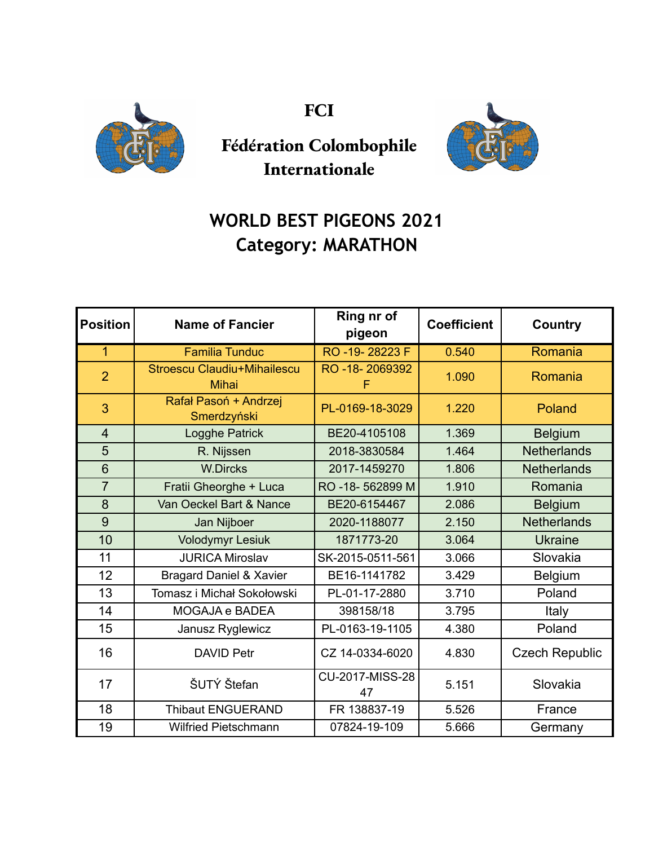

**FCI**



## **Fédération Colombophile Internationale**

## **WORLD BEST PIGEONS 2021 Category: MARATHON**

| <b>Position</b> | <b>Name of Fancier</b>                      | Ring nr of<br>pigeon  | <b>Coefficient</b> | Country               |
|-----------------|---------------------------------------------|-----------------------|--------------------|-----------------------|
| 1               | <b>Familia Tunduc</b>                       | RO -19-28223 F        | 0.540              | Romania               |
| $\overline{2}$  | Stroescu Claudiu+Mihailescu<br><b>Mihai</b> | RO-18-2069392<br>F    | 1.090              | Romania               |
| 3               | Rafał Pasoń + Andrzej<br>Smerdzyński        | PL-0169-18-3029       | 1.220              | Poland                |
| $\overline{4}$  | Logghe Patrick                              | BE20-4105108          | 1.369              | <b>Belgium</b>        |
| 5               | R. Nijssen                                  | 2018-3830584          | 1.464              | <b>Netherlands</b>    |
| 6               | <b>W.Dircks</b>                             | 2017-1459270          | 1.806              | <b>Netherlands</b>    |
| $\overline{7}$  | Fratii Gheorghe + Luca                      | RO -18-562899 M       | 1.910              | Romania               |
| 8               | Van Oeckel Bart & Nance                     | BE20-6154467          | 2.086              | <b>Belgium</b>        |
| 9               | Jan Nijboer                                 | 2020-1188077          | 2.150              | <b>Netherlands</b>    |
| 10              | <b>Volodymyr Lesiuk</b>                     | 1871773-20            | 3.064              | <b>Ukraine</b>        |
| 11              | <b>JURICA Miroslav</b>                      | SK-2015-0511-561      | 3.066              | Slovakia              |
| 12              | <b>Bragard Daniel &amp; Xavier</b>          | BE16-1141782          | 3.429              | Belgium               |
| 13              | Tomasz i Michał Sokołowski                  | PL-01-17-2880         | 3.710              | Poland                |
| 14              | <b>MOGAJA e BADEA</b>                       | 398158/18             | 3.795              | Italy                 |
| 15              | Janusz Ryglewicz                            | PL-0163-19-1105       | 4.380              | Poland                |
| 16              | <b>DAVID Petr</b>                           | CZ 14-0334-6020       | 4.830              | <b>Czech Republic</b> |
| 17              | ŠUTÝ Štefan                                 | CU-2017-MISS-28<br>47 | 5.151              | Slovakia              |
| 18              | <b>Thibaut ENGUERAND</b>                    | FR 138837-19          | 5.526              | France                |
| 19              | <b>Wilfried Pietschmann</b>                 | 07824-19-109          | 5.666              | Germany               |